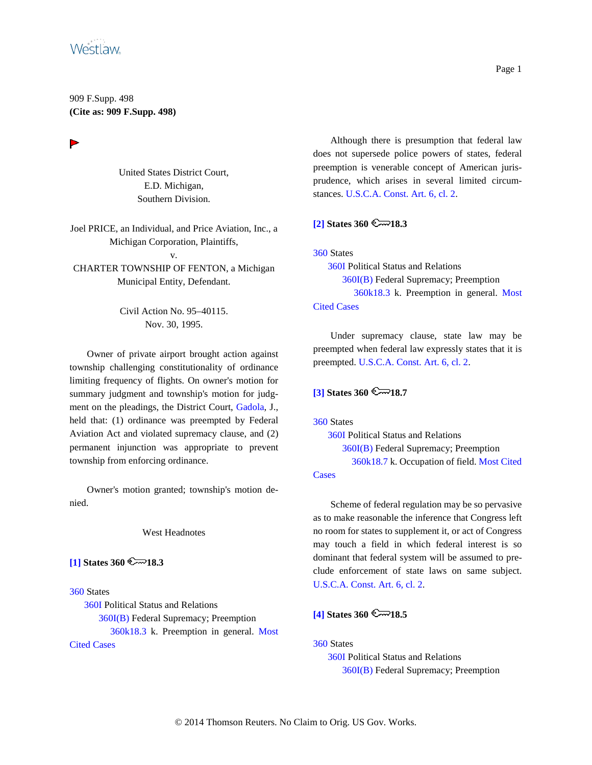

United States District Court, E.D. Michigan, Southern Division.

Joel PRICE, an Individual, and Price Aviation, Inc., a Michigan Corporation, Plaintiffs, v. CHARTER TOWNSHIP OF FENTON, a Michigan Municipal Entity, Defendant.

> Civil Action No. 95–40115. Nov. 30, 1995.

Owner of private airport brought action against township challenging constitutionality of ordinance limiting frequency of flights. On owner's motion for summary judgment and township's motion for judgment on the pleadings, the District Court, Gadola, J., held that: (1) ordinance was preempted by Federal Aviation Act and violated supremacy clause, and (2) permanent injunction was appropriate to prevent township from enforcing ordinance.

Owner's motion granted; township's motion denied.

West Headnotes

<span id="page-0-0"></span>**[\[1\]](#page-4-0) States 360**  $\mathbb{R}$  **18.3** 

360 States

360I Political Status and Relations 360I(B) Federal Supremacy; Preemption 360k18.3 k. Preemption in general. Most Cited Cases

Although there is presumption that federal law does not supersede police powers of states, federal preemption is venerable concept of American jurisprudence, which arises in several limited circumstances. U.S.C.A. Const. Art. 6, cl. 2.

# $[2]$  States 360  $\sim$  18.3

360 States

360I Political Status and Relations 360I(B) Federal Supremacy; Preemption 360k18.3 k. Preemption in general. Most Cited Cases

Under supremacy clause, state law may be preempted when federal law expressly states that it is preempted. U.S.C.A. Const. Art. 6, cl. 2.

<span id="page-0-1"></span>**[\[3\]](#page-4-2) States** 360  $\infty$  18.7

360 States

360I Political Status and Relations 360I(B) Federal Supremacy; Preemption 360k18.7 k. Occupation of field. Most Cited **Cases** 

Scheme of federal regulation may be so pervasive as to make reasonable the inference that Congress left no room for states to supplement it, or act of Congress may touch a field in which federal interest is so dominant that federal system will be assumed to preclude enforcement of state laws on same subject. U.S.C.A. Const. Art. 6, cl. 2.

**[\[4\]](#page-4-3) States** 360  $\mathbb{C}$  18.5

360 States 360I Political Status and Relations 360I(B) Federal Supremacy; Preemption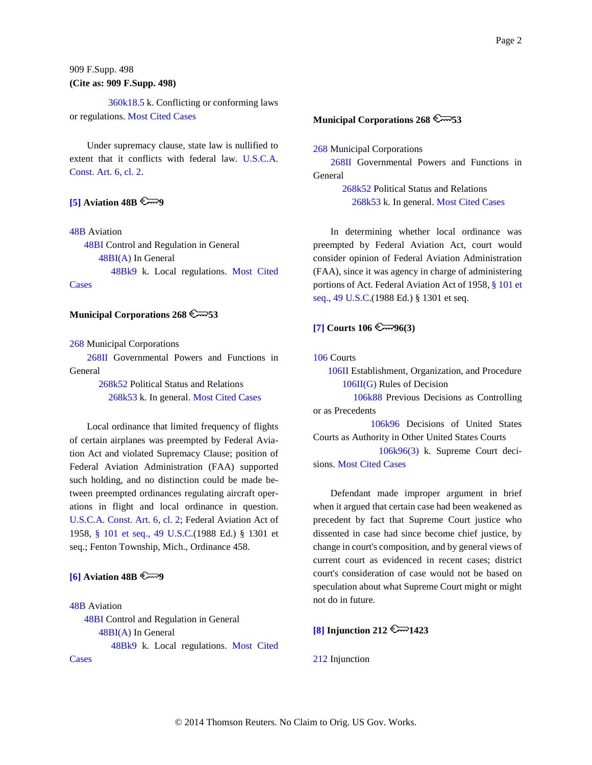360k18.5 k. Conflicting or conforming laws or regulations. Most Cited Cases

Under supremacy clause, state law is nullified to extent that it conflicts with federal law. U.S.C.A. Const. Art. 6, cl. 2.

## <span id="page-1-0"></span>**[\[5\]](#page-4-4) Aviation 48B**  $\mathbb{R}$  **9**

48B Aviation

48BI Control and Regulation in General 48BI(A) In General 48Bk9 k. Local regulations. Most Cited **Cases** 

## **Municipal Corporations 268 6333**

268 Municipal Corporations

268II Governmental Powers and Functions in General

> 268k52 Political Status and Relations 268k53 k. In general. Most Cited Cases

Local ordinance that limited frequency of flights of certain airplanes was preempted by Federal Aviation Act and violated Supremacy Clause; position of Federal Aviation Administration (FAA) supported such holding, and no distinction could be made between preempted ordinances regulating aircraft operations in flight and local ordinance in question. U.S.C.A. Const. Art. 6, cl. 2; Federal Aviation Act of 1958, § 101 et seq., 49 U.S.C.(1988 Ed.) § 1301 et seq.; Fenton Township, Mich., Ordinance 458.

## <span id="page-1-1"></span> $[6]$  Aviation 48B  $\mathbb{R}$

48B Aviation 48BI Control and Regulation in General 48BI(A) In General 48Bk9 k. Local regulations. Most Cited **Cases** 

# **Municipal Corporations 268**  $\approx$ **53**

268 Municipal Corporations

268II Governmental Powers and Functions in General

> 268k52 Political Status and Relations 268k53 k. In general. Most Cited Cases

In determining whether local ordinance was preempted by Federal Aviation Act, court would consider opinion of Federal Aviation Administration (FAA), since it was agency in charge of administering portions of Act. Federal Aviation Act of 1958, § 101 et seq., 49 U.S.C.(1988 Ed.) § 1301 et seq.

## <span id="page-1-2"></span> $[7]$  Courts 106  $\cong$  96(3)

106 Courts

106II Establishment, Organization, and Procedure 106II(G) Rules of Decision

106k88 Previous Decisions as Controlling or as Precedents

106k96 Decisions of United States Courts as Authority in Other United States Courts

106k96(3) k. Supreme Court decisions. Most Cited Cases

Defendant made improper argument in brief when it argued that certain case had been weakened as precedent by fact that Supreme Court justice who dissented in case had since become chief justice, by change in court's composition, and by general views of current court as evidenced in recent cases; district court's consideration of case would not be based on speculation about what Supreme Court might or might not do in future.

## <span id="page-1-3"></span>**[\[8\]](#page-9-0) Injunction** 212  $\mathbb{R}$  1423

212 Injunction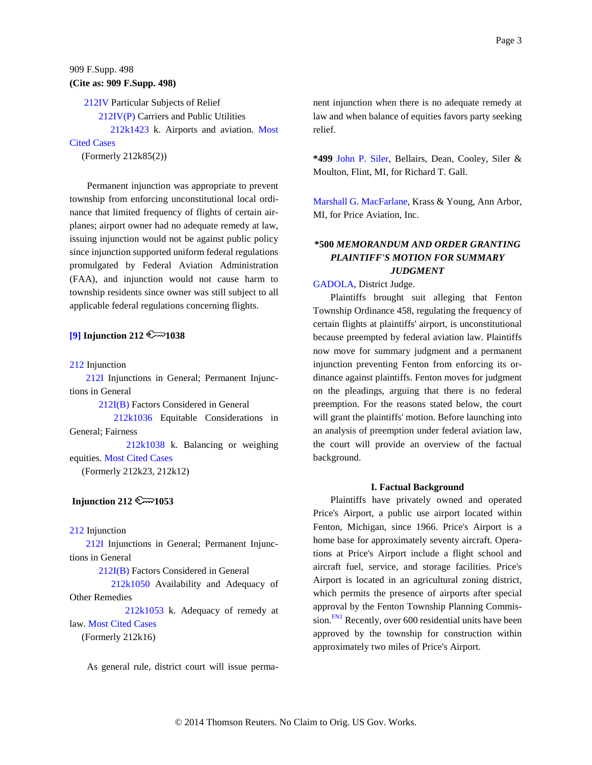212IV Particular Subjects of Relief 212IV(P) Carriers and Public Utilities 212k1423 k. Airports and aviation. Most Cited Cases

(Formerly 212k85(2))

Permanent injunction was appropriate to prevent township from enforcing unconstitutional local ordinance that limited frequency of flights of certain airplanes; airport owner had no adequate remedy at law, issuing injunction would not be against public policy since injunction supported uniform federal regulations promulgated by Federal Aviation Administration (FAA), and injunction would not cause harm to township residents since owner was still subject to all applicable federal regulations concerning flights.

# $[9]$  Injunction 212  $\sim$  1038

## 212 Injunction

212I Injunctions in General; Permanent Injunctions in General

212I(B) Factors Considered in General

212k1036 Equitable Considerations in General; Fairness

212k1038 k. Balancing or weighing equities. Most Cited Cases (Formerly 212k23, 212k12)

# **Injunction 212**  $\mathbb{R}$  1053

## 212 Injunction

212I Injunctions in General; Permanent Injunctions in General

212I(B) Factors Considered in General

212k1050 Availability and Adequacy of Other Remedies

212k1053 k. Adequacy of remedy at law. Most Cited Cases (Formerly 212k16)

As general rule, district court will issue perma-

nent injunction when there is no adequate remedy at law and when balance of equities favors party seeking relief.

**\*499** John P. Siler, Bellairs, Dean, Cooley, Siler & Moulton, Flint, MI, for Richard T. Gall.

Marshall G. MacFarlane, Krass & Young, Ann Arbor, MI, for Price Aviation, Inc.

# **\*500** *MEMORANDUM AND ORDER GRANTING PLAINTIFF'S MOTION FOR SUMMARY JUDGMENT*

## GADOLA, District Judge.

Plaintiffs brought suit alleging that Fenton Township Ordinance 458, regulating the frequency of certain flights at plaintiffs' airport, is unconstitutional because preempted by federal aviation law. Plaintiffs now move for summary judgment and a permanent injunction preventing Fenton from enforcing its ordinance against plaintiffs. Fenton moves for judgment on the pleadings, arguing that there is no federal preemption. For the reasons stated below, the court will grant the plaintiffs' motion. Before launching into an analysis of preemption under federal aviation law, the court will provide an overview of the factual background.

## **I. Factual Background**

<span id="page-2-0"></span>Plaintiffs have privately owned and operated Price's Airport, a public use airport located within Fenton, Michigan, since 1966. Price's Airport is a home base for approximately seventy aircraft. Operations at Price's Airport include a flight school and aircraft fuel, service, and storage facilities. Price's Airport is located in an agricultural zoning district, which permits the presence of airports after special approval by the Fenton Township Planning Commission. $F<sup>N1</sup>$  Recently, over 600 residential units have been approved by the township for construction within approximately two miles of Price's Airport.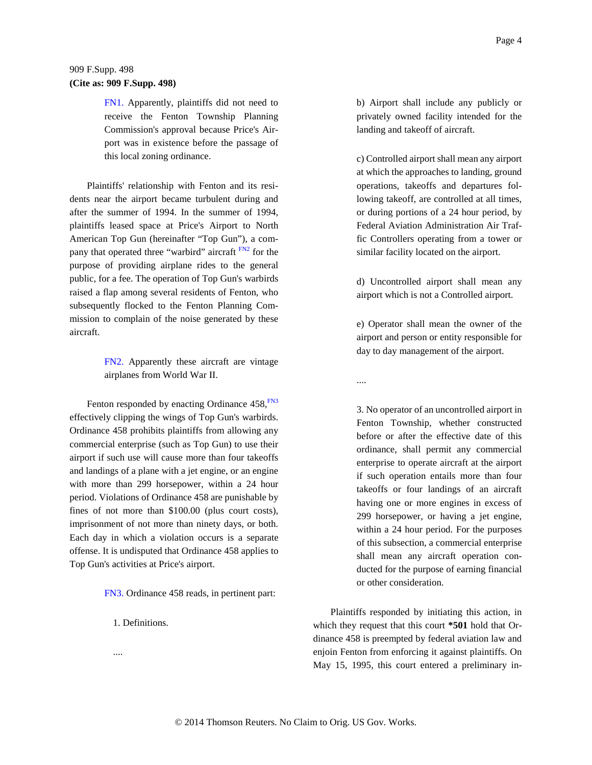Page 4

## 909 F.Supp. 498 **(Cite as: 909 F.Supp. 498)**

<span id="page-3-0"></span>[FN1.](#page-2-0) Apparently, plaintiffs did not need to receive the Fenton Township Planning Commission's approval because Price's Airport was in existence before the passage of this local zoning ordinance.

Plaintiffs' relationship with Fenton and its residents near the airport became turbulent during and after the summer of 1994. In the summer of 1994, plaintiffs leased space at Price's Airport to North American Top Gun (hereinafter "Top Gun"), a company that operated three "warbird" aircraft  $F_{N2}$  for the purpose of providing airplane rides to the general public, for a fee. The operation of Top Gun's warbirds raised a flap among several residents of Fenton, who subsequently flocked to the Fenton Planning Commission to complain of the noise generated by these aircraft.

> <span id="page-3-1"></span>[FN2.](#page-3-2) Apparently these aircraft are vintage airplanes from World War II.

Fenton responded by enacting Ordinance 458, [FN3](#page-3-3) effectively clipping the wings of Top Gun's warbirds. Ordinance 458 prohibits plaintiffs from allowing any commercial enterprise (such as Top Gun) to use their airport if such use will cause more than four takeoffs and landings of a plane with a jet engine, or an engine with more than 299 horsepower, within a 24 hour period. Violations of Ordinance 458 are punishable by fines of not more than \$100.00 (plus court costs), imprisonment of not more than ninety days, or both. Each day in which a violation occurs is a separate offense. It is undisputed that Ordinance 458 applies to Top Gun's activities at Price's airport.

<span id="page-3-3"></span>[FN3.](#page-3-4) Ordinance 458 reads, in pertinent part:

1. Definitions.

....

b) Airport shall include any publicly or privately owned facility intended for the landing and takeoff of aircraft.

c) Controlled airport shall mean any airport at which the approaches to landing, ground operations, takeoffs and departures following takeoff, are controlled at all times, or during portions of a 24 hour period, by Federal Aviation Administration Air Traffic Controllers operating from a tower or similar facility located on the airport.

<span id="page-3-2"></span>d) Uncontrolled airport shall mean any airport which is not a Controlled airport.

e) Operator shall mean the owner of the airport and person or entity responsible for day to day management of the airport.

<span id="page-3-4"></span>....

3. No operator of an uncontrolled airport in Fenton Township, whether constructed before or after the effective date of this ordinance, shall permit any commercial enterprise to operate aircraft at the airport if such operation entails more than four takeoffs or four landings of an aircraft having one or more engines in excess of 299 horsepower, or having a jet engine, within a 24 hour period. For the purposes of this subsection, a commercial enterprise shall mean any aircraft operation conducted for the purpose of earning financial or other consideration.

Plaintiffs responded by initiating this action, in which they request that this court **\*501** hold that Ordinance 458 is preempted by federal aviation law and enjoin Fenton from enforcing it against plaintiffs. On May 15, 1995, this court entered a preliminary in-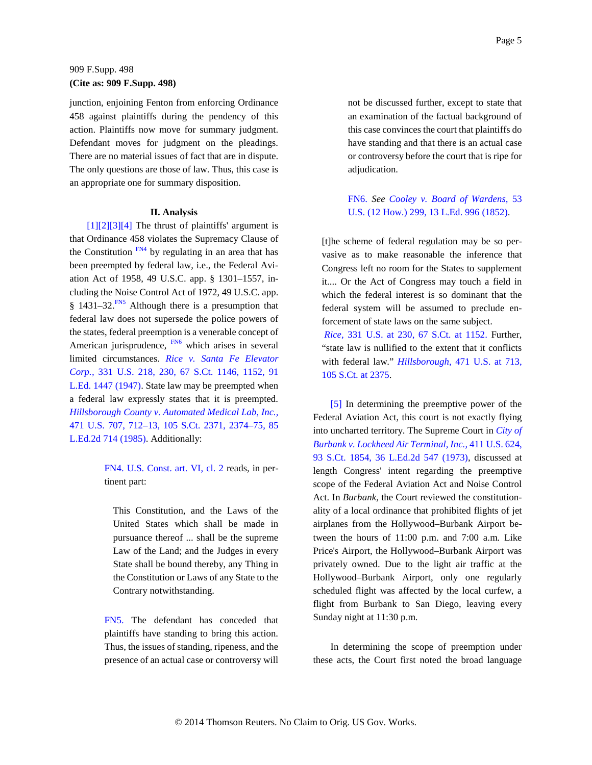junction, enjoining Fenton from enforcing Ordinance 458 against plaintiffs during the pendency of this action. Plaintiffs now move for summary judgment. Defendant moves for judgment on the pleadings. There are no material issues of fact that are in dispute. The only questions are those of law. Thus, this case is an appropriate one for summary disposition.

#### <span id="page-4-10"></span><span id="page-4-9"></span><span id="page-4-8"></span><span id="page-4-3"></span><span id="page-4-2"></span>**II. Analysis**

<span id="page-4-1"></span><span id="page-4-0"></span> $[1][2][3][4]$  $[1][2][3][4]$  The thrust of plaintiffs' argument is that Ordinance 458 violates the Supremacy Clause of the Constitution  $\frac{FN4}{FN4}$  $\frac{FN4}{FN4}$  $\frac{FN4}{FN4}$  by regulating in an area that has been preempted by federal law, i.e., the Federal Aviation Act of 1958, 49 U.S.C. app. § 1301–1557, including the Noise Control Act of 1972, 49 U.S.C. app. § 1431–32. $\frac{FN5}{FN}$  $\frac{FN5}{FN}$  $\frac{FN5}{FN}$  Although there is a presumption that federal law does not supersede the police powers of the states, federal preemption is a venerable concept of American jurisprudence,  $\frac{FN6}{FN6}$  $\frac{FN6}{FN6}$  $\frac{FN6}{FN6}$  which arises in several limited circumstances. *Rice v. Santa Fe Elevator Corp.,* 331 U.S. 218, 230, 67 S.Ct. 1146, 1152, 91 L.Ed. 1447 (1947). State law may be preempted when a federal law expressly states that it is preempted. *Hillsborough County v. Automated Medical Lab, Inc.,* 471 U.S. 707, 712–13, 105 S.Ct. 2371, 2374–75, 85 L.Ed.2d 714 (1985). Additionally:

> <span id="page-4-5"></span>[FN4.](#page-4-8) U.S. Const. art. VI, cl. 2 reads, in pertinent part:

This Constitution, and the Laws of the United States which shall be made in pursuance thereof ... shall be the supreme Law of the Land; and the Judges in every State shall be bound thereby, any Thing in the Constitution or Laws of any State to the Contrary notwithstanding.

<span id="page-4-6"></span>[FN5.](#page-4-9) The defendant has conceded that plaintiffs have standing to bring this action. Thus, the issues of standing, ripeness, and the presence of an actual case or controversy will

not be discussed further, except to state that an examination of the factual background of this case convinces the court that plaintiffs do have standing and that there is an actual case or controversy before the court that is ripe for adjudication.

## <span id="page-4-7"></span>[FN6.](#page-4-10) *See Cooley v. Board of Wardens,* 53 U.S. (12 How.) 299, 13 L.Ed. 996 (1852).

[t]he scheme of federal regulation may be so pervasive as to make reasonable the inference that Congress left no room for the States to supplement it.... Or the Act of Congress may touch a field in which the federal interest is so dominant that the federal system will be assumed to preclude enforcement of state laws on the same subject.

*Rice,* 331 U.S. at 230, 67 S.Ct. at 1152. Further, "state law is nullified to the extent that it conflicts with federal law." *Hillsborough,* 471 U.S. at 713, 105 S.Ct. at 2375.

<span id="page-4-4"></span>[\[5\]](#page-1-0) In determining the preemptive power of the Federal Aviation Act, this court is not exactly flying into uncharted territory. The Supreme Court in *City of Burbank v. Lockheed Air Terminal, Inc.,* 411 U.S. 624, 93 S.Ct. 1854, 36 L.Ed.2d 547 (1973), discussed at length Congress' intent regarding the preemptive scope of the Federal Aviation Act and Noise Control Act. In *Burbank,* the Court reviewed the constitutionality of a local ordinance that prohibited flights of jet airplanes from the Hollywood–Burbank Airport between the hours of 11:00 p.m. and 7:00 a.m. Like Price's Airport, the Hollywood–Burbank Airport was privately owned. Due to the light air traffic at the Hollywood–Burbank Airport, only one regularly scheduled flight was affected by the local curfew, a flight from Burbank to San Diego, leaving every Sunday night at 11:30 p.m.

In determining the scope of preemption under these acts, the Court first noted the broad language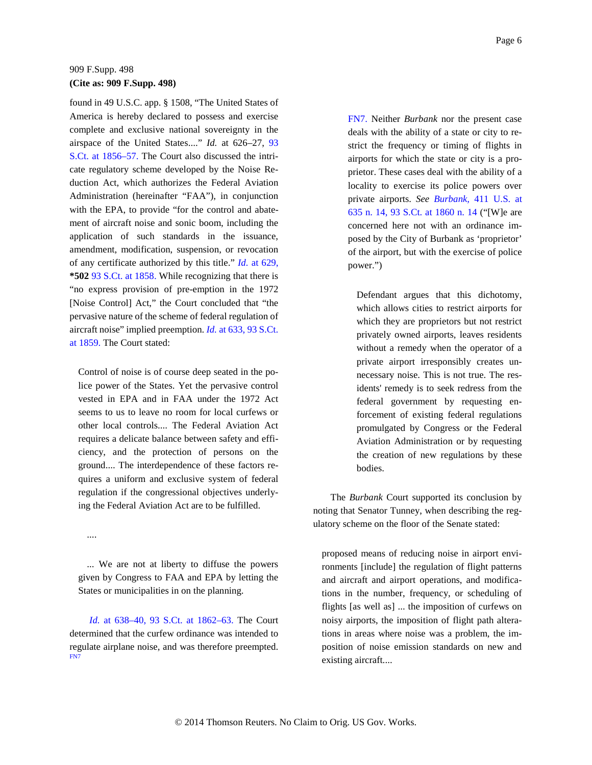found in 49 U.S.C. app. § 1508, "The United States of America is hereby declared to possess and exercise complete and exclusive national sovereignty in the airspace of the United States...." *Id.* at 626–27, 93 S.Ct. at 1856–57. The Court also discussed the intricate regulatory scheme developed by the Noise Reduction Act, which authorizes the Federal Aviation Administration (hereinafter "FAA"), in conjunction with the EPA, to provide "for the control and abatement of aircraft noise and sonic boom, including the application of such standards in the issuance, amendment, modification, suspension, or revocation of any certificate authorized by this title." *Id.* at 629, **\*502** 93 S.Ct. at 1858. While recognizing that there is "no express provision of pre-emption in the 1972 [Noise Control] Act," the Court concluded that "the pervasive nature of the scheme of federal regulation of aircraft noise" implied preemption. *Id.* at 633, 93 S.Ct. at 1859. The Court stated:

Control of noise is of course deep seated in the police power of the States. Yet the pervasive control vested in EPA and in FAA under the 1972 Act seems to us to leave no room for local curfews or other local controls.... The Federal Aviation Act requires a delicate balance between safety and efficiency, and the protection of persons on the ground.... The interdependence of these factors requires a uniform and exclusive system of federal regulation if the congressional objectives underlying the Federal Aviation Act are to be fulfilled.

....

... We are not at liberty to diffuse the powers given by Congress to FAA and EPA by letting the States or municipalities in on the planning.

<span id="page-5-1"></span>*Id.* at 638–40, 93 S.Ct. at 1862–63. The Court determined that the curfew ordinance was intended to regulate airplane noise, and was therefore preempted.<br>[FN7](#page-5-0)

<span id="page-5-0"></span>[FN7.](#page-5-1) Neither *Burbank* nor the present case deals with the ability of a state or city to restrict the frequency or timing of flights in airports for which the state or city is a proprietor. These cases deal with the ability of a locality to exercise its police powers over private airports. *See Burbank,* 411 U.S. at 635 n. 14, 93 S.Ct. at 1860 n. 14 ("[W]e are concerned here not with an ordinance imposed by the City of Burbank as 'proprietor' of the airport, but with the exercise of police power.")

Defendant argues that this dichotomy, which allows cities to restrict airports for which they are proprietors but not restrict privately owned airports, leaves residents without a remedy when the operator of a private airport irresponsibly creates unnecessary noise. This is not true. The residents' remedy is to seek redress from the federal government by requesting enforcement of existing federal regulations promulgated by Congress or the Federal Aviation Administration or by requesting the creation of new regulations by these bodies.

The *Burbank* Court supported its conclusion by noting that Senator Tunney, when describing the regulatory scheme on the floor of the Senate stated:

proposed means of reducing noise in airport environments [include] the regulation of flight patterns and aircraft and airport operations, and modifications in the number, frequency, or scheduling of flights [as well as] ... the imposition of curfews on noisy airports, the imposition of flight path alterations in areas where noise was a problem, the imposition of noise emission standards on new and existing aircraft....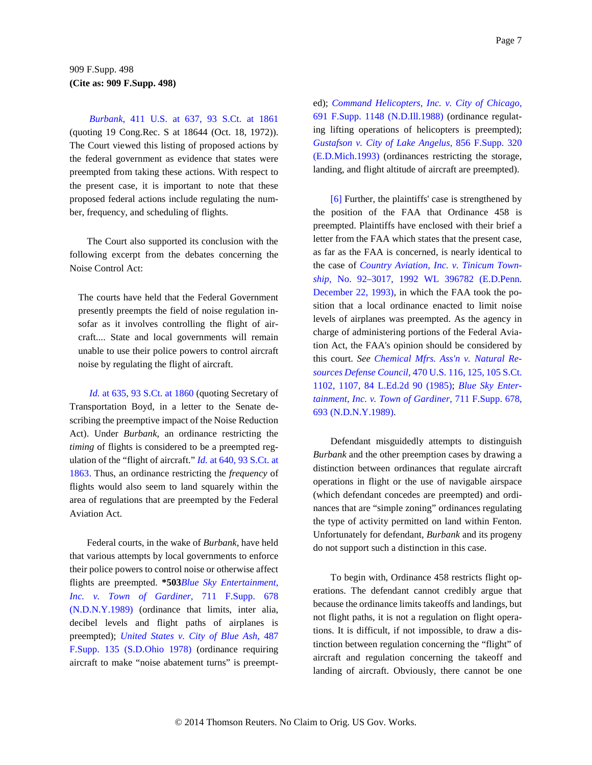*Burbank,* 411 U.S. at 637, 93 S.Ct. at 1861 (quoting 19 Cong.Rec. S at 18644 (Oct. 18, 1972)). The Court viewed this listing of proposed actions by the federal government as evidence that states were preempted from taking these actions. With respect to the present case, it is important to note that these proposed federal actions include regulating the number, frequency, and scheduling of flights.

The Court also supported its conclusion with the following excerpt from the debates concerning the Noise Control Act:

The courts have held that the Federal Government presently preempts the field of noise regulation insofar as it involves controlling the flight of aircraft.... State and local governments will remain unable to use their police powers to control aircraft noise by regulating the flight of aircraft.

*Id.* at 635, 93 S.Ct. at 1860 (quoting Secretary of Transportation Boyd, in a letter to the Senate describing the preemptive impact of the Noise Reduction Act). Under *Burbank,* an ordinance restricting the *timing* of flights is considered to be a preempted regulation of the "flight of aircraft." *Id.* at 640, 93 S.Ct. at 1863. Thus, an ordinance restricting the *frequency* of flights would also seem to land squarely within the area of regulations that are preempted by the Federal Aviation Act.

Federal courts, in the wake of *Burbank,* have held that various attempts by local governments to enforce their police powers to control noise or otherwise affect flights are preempted. **\*503***Blue Sky Entertainment, Inc. v. Town of Gardiner,* 711 F.Supp. 678 (N.D.N.Y.1989) (ordinance that limits, inter alia, decibel levels and flight paths of airplanes is preempted); *United States v. City of Blue Ash,* 487 F.Supp. 135 (S.D.Ohio 1978) (ordinance requiring aircraft to make "noise abatement turns" is preempted); *Command Helicopters, Inc. v. City of Chicago,* 691 F.Supp. 1148 (N.D.Ill.1988) (ordinance regulating lifting operations of helicopters is preempted); *Gustafson v. City of Lake Angelus,* 856 F.Supp. 320 (E.D.Mich.1993) (ordinances restricting the storage, landing, and flight altitude of aircraft are preempted).

<span id="page-6-0"></span>[\[6\]](#page-1-1) Further, the plaintiffs' case is strengthened by the position of the FAA that Ordinance 458 is preempted. Plaintiffs have enclosed with their brief a letter from the FAA which states that the present case, as far as the FAA is concerned, is nearly identical to the case of *Country Aviation, Inc. v. Tinicum Township,* No. 92–3017, 1992 WL 396782 (E.D.Penn. December 22, 1993), in which the FAA took the position that a local ordinance enacted to limit noise levels of airplanes was preempted. As the agency in charge of administering portions of the Federal Aviation Act, the FAA's opinion should be considered by this court. *See Chemical Mfrs. Ass'n v. Natural Resources Defense Council,* 470 U.S. 116, 125, 105 S.Ct. 1102, 1107, 84 L.Ed.2d 90 (1985); *Blue Sky Entertainment, Inc. v. Town of Gardiner,* 711 F.Supp. 678, 693 (N.D.N.Y.1989).

Defendant misguidedly attempts to distinguish *Burbank* and the other preemption cases by drawing a distinction between ordinances that regulate aircraft operations in flight or the use of navigable airspace (which defendant concedes are preempted) and ordinances that are "simple zoning" ordinances regulating the type of activity permitted on land within Fenton. Unfortunately for defendant, *Burbank* and its progeny do not support such a distinction in this case.

To begin with, Ordinance 458 restricts flight operations. The defendant cannot credibly argue that because the ordinance limits takeoffs and landings, but not flight paths, it is not a regulation on flight operations. It is difficult, if not impossible, to draw a distinction between regulation concerning the "flight" of aircraft and regulation concerning the takeoff and landing of aircraft. Obviously, there cannot be one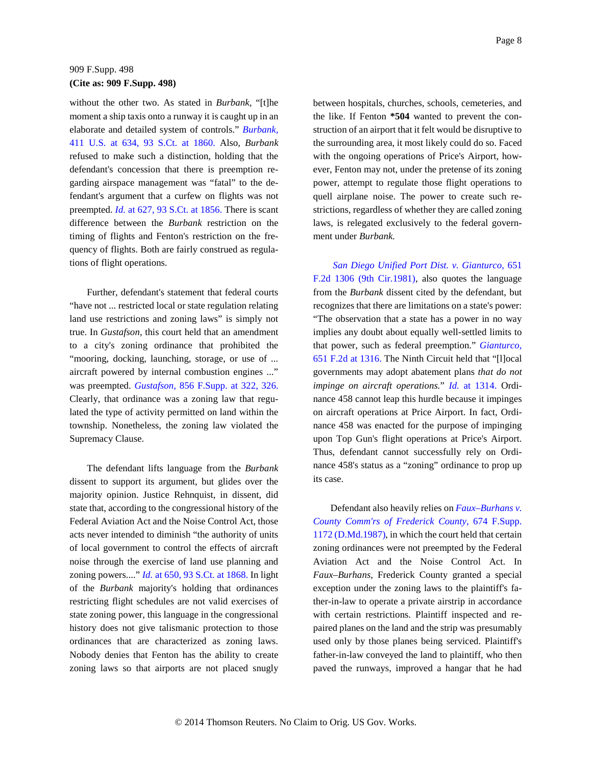without the other two. As stated in *Burbank,* "[t]he moment a ship taxis onto a runway it is caught up in an elaborate and detailed system of controls." *Burbank,* 411 U.S. at 634, 93 S.Ct. at 1860. Also, *Burbank* refused to make such a distinction, holding that the defendant's concession that there is preemption regarding airspace management was "fatal" to the defendant's argument that a curfew on flights was not preempted. *Id.* at 627, 93 S.Ct. at 1856. There is scant difference between the *Burbank* restriction on the timing of flights and Fenton's restriction on the frequency of flights. Both are fairly construed as regulations of flight operations.

Further, defendant's statement that federal courts "have not ... restricted local or state regulation relating land use restrictions and zoning laws" is simply not true. In *Gustafson,* this court held that an amendment to a city's zoning ordinance that prohibited the "mooring, docking, launching, storage, or use of ... aircraft powered by internal combustion engines ..." was preempted. *Gustafson,* 856 F.Supp. at 322, 326. Clearly, that ordinance was a zoning law that regulated the type of activity permitted on land within the township. Nonetheless, the zoning law violated the Supremacy Clause.

The defendant lifts language from the *Burbank* dissent to support its argument, but glides over the majority opinion. Justice Rehnquist, in dissent, did state that, according to the congressional history of the Federal Aviation Act and the Noise Control Act, those acts never intended to diminish "the authority of units of local government to control the effects of aircraft noise through the exercise of land use planning and zoning powers...." *Id.* at 650, 93 S.Ct. at 1868. In light of the *Burbank* majority's holding that ordinances restricting flight schedules are not valid exercises of state zoning power, this language in the congressional history does not give talismanic protection to those ordinances that are characterized as zoning laws. Nobody denies that Fenton has the ability to create zoning laws so that airports are not placed snugly between hospitals, churches, schools, cemeteries, and the like. If Fenton **\*504** wanted to prevent the construction of an airport that it felt would be disruptive to the surrounding area, it most likely could do so. Faced with the ongoing operations of Price's Airport, however, Fenton may not, under the pretense of its zoning power, attempt to regulate those flight operations to quell airplane noise. The power to create such restrictions, regardless of whether they are called zoning laws, is relegated exclusively to the federal government under *Burbank.*

*San Diego Unified Port Dist. v. Gianturco,* 651 F.2d 1306 (9th Cir.1981), also quotes the language from the *Burbank* dissent cited by the defendant, but recognizes that there are limitations on a state's power: "The observation that a state has a power in no way implies any doubt about equally well-settled limits to that power, such as federal preemption." *Gianturco,* 651 F.2d at 1316. The Ninth Circuit held that "[l]ocal governments may adopt abatement plans *that do not impinge on aircraft operations.*" *Id.* at 1314. Ordinance 458 cannot leap this hurdle because it impinges on aircraft operations at Price Airport. In fact, Ordinance 458 was enacted for the purpose of impinging upon Top Gun's flight operations at Price's Airport. Thus, defendant cannot successfully rely on Ordinance 458's status as a "zoning" ordinance to prop up its case.

Defendant also heavily relies on *Faux–Burhans v. County Comm'rs of Frederick County,* 674 F.Supp. 1172 (D.Md.1987), in which the court held that certain zoning ordinances were not preempted by the Federal Aviation Act and the Noise Control Act. In *Faux–Burhans,* Frederick County granted a special exception under the zoning laws to the plaintiff's father-in-law to operate a private airstrip in accordance with certain restrictions. Plaintiff inspected and repaired planes on the land and the strip was presumably used only by those planes being serviced. Plaintiff's father-in-law conveyed the land to plaintiff, who then paved the runways, improved a hangar that he had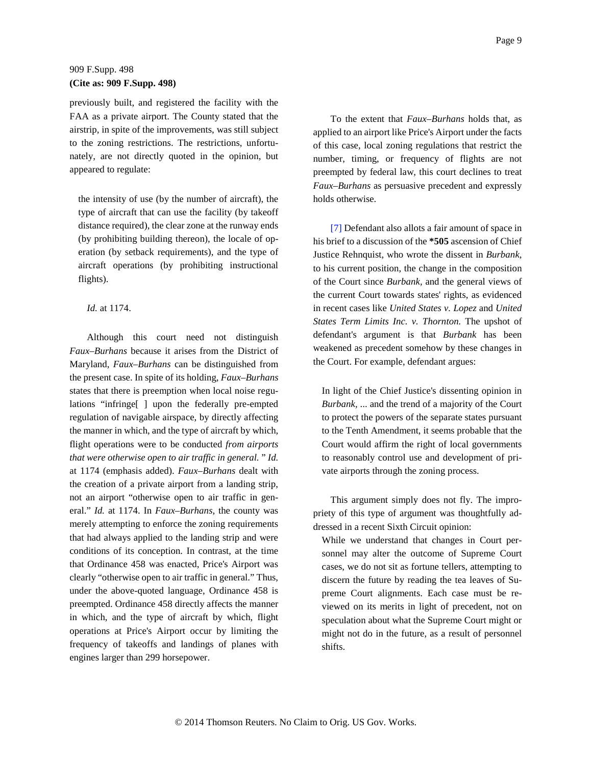previously built, and registered the facility with the FAA as a private airport. The County stated that the airstrip, in spite of the improvements, was still subject to the zoning restrictions. The restrictions, unfortunately, are not directly quoted in the opinion, but appeared to regulate:

the intensity of use (by the number of aircraft), the type of aircraft that can use the facility (by takeoff distance required), the clear zone at the runway ends (by prohibiting building thereon), the locale of operation (by setback requirements), and the type of aircraft operations (by prohibiting instructional flights).

## *Id.* at 1174.

Although this court need not distinguish *Faux–Burhans* because it arises from the District of Maryland, *Faux–Burhans* can be distinguished from the present case. In spite of its holding, *Faux–Burhans* states that there is preemption when local noise regulations "infringe[ ] upon the federally pre-empted regulation of navigable airspace, by directly affecting the manner in which, and the type of aircraft by which, flight operations were to be conducted *from airports that were otherwise open to air traffic in general.* " *Id.* at 1174 (emphasis added). *Faux–Burhans* dealt with the creation of a private airport from a landing strip, not an airport "otherwise open to air traffic in general." *Id.* at 1174. In *Faux–Burhans,* the county was merely attempting to enforce the zoning requirements that had always applied to the landing strip and were conditions of its conception. In contrast, at the time that Ordinance 458 was enacted, Price's Airport was clearly "otherwise open to air traffic in general." Thus, under the above-quoted language, Ordinance 458 is preempted. Ordinance 458 directly affects the manner in which, and the type of aircraft by which, flight operations at Price's Airport occur by limiting the frequency of takeoffs and landings of planes with engines larger than 299 horsepower.

To the extent that *Faux–Burhans* holds that, as applied to an airport like Price's Airport under the facts of this case, local zoning regulations that restrict the number, timing, or frequency of flights are not preempted by federal law, this court declines to treat *Faux–Burhans* as persuasive precedent and expressly holds otherwise.

<span id="page-8-0"></span>[\[7\]](#page-1-2) Defendant also allots a fair amount of space in his brief to a discussion of the **\*505** ascension of Chief Justice Rehnquist, who wrote the dissent in *Burbank,* to his current position, the change in the composition of the Court since *Burbank,* and the general views of the current Court towards states' rights, as evidenced in recent cases like *United States v. Lopez* and *United States Term Limits Inc. v. Thornton.* The upshot of defendant's argument is that *Burbank* has been weakened as precedent somehow by these changes in the Court. For example, defendant argues:

In light of the Chief Justice's dissenting opinion in *Burbank,* ... and the trend of a majority of the Court to protect the powers of the separate states pursuant to the Tenth Amendment, it seems probable that the Court would affirm the right of local governments to reasonably control use and development of private airports through the zoning process.

This argument simply does not fly. The impropriety of this type of argument was thoughtfully addressed in a recent Sixth Circuit opinion:

While we understand that changes in Court personnel may alter the outcome of Supreme Court cases, we do not sit as fortune tellers, attempting to discern the future by reading the tea leaves of Supreme Court alignments. Each case must be reviewed on its merits in light of precedent, not on speculation about what the Supreme Court might or might not do in the future, as a result of personnel shifts.